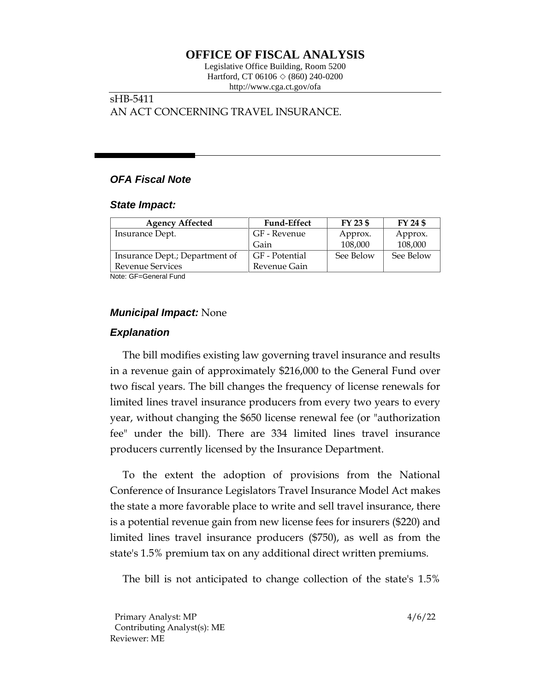# **OFFICE OF FISCAL ANALYSIS**

Legislative Office Building, Room 5200 Hartford, CT 06106  $\Diamond$  (860) 240-0200 http://www.cga.ct.gov/ofa

# sHB-5411 AN ACT CONCERNING TRAVEL INSURANCE.

# *OFA Fiscal Note*

#### *State Impact:*

| <b>Agency Affected</b>         | <b>Fund-Effect</b> | FY 23 \$  | FY 24 \$  |
|--------------------------------|--------------------|-----------|-----------|
| Insurance Dept.                | GF - Revenue       | Approx.   | Approx.   |
|                                | Gain               | 108,000   | 108,000   |
| Insurance Dept.; Department of | GF - Potential     | See Below | See Below |
| Revenue Services               | Revenue Gain       |           |           |

Note: GF=General Fund

## *Municipal Impact:* None

## *Explanation*

The bill modifies existing law governing travel insurance and results in a revenue gain of approximately \$216,000 to the General Fund over two fiscal years. The bill changes the frequency of license renewals for limited lines travel insurance producers from every two years to every year, without changing the \$650 license renewal fee (or "authorization fee" under the bill). There are 334 limited lines travel insurance producers currently licensed by the Insurance Department.

To the extent the adoption of provisions from the National Conference of Insurance Legislators Travel Insurance Model Act makes the state a more favorable place to write and sell travel insurance, there is a potential revenue gain from new license fees for insurers (\$220) and limited lines travel insurance producers (\$750), as well as from the state's 1.5% premium tax on any additional direct written premiums.

The bill is not anticipated to change collection of the state's 1.5%

Primary Analyst: MP 4/6/22 Contributing Analyst(s): ME Reviewer: ME